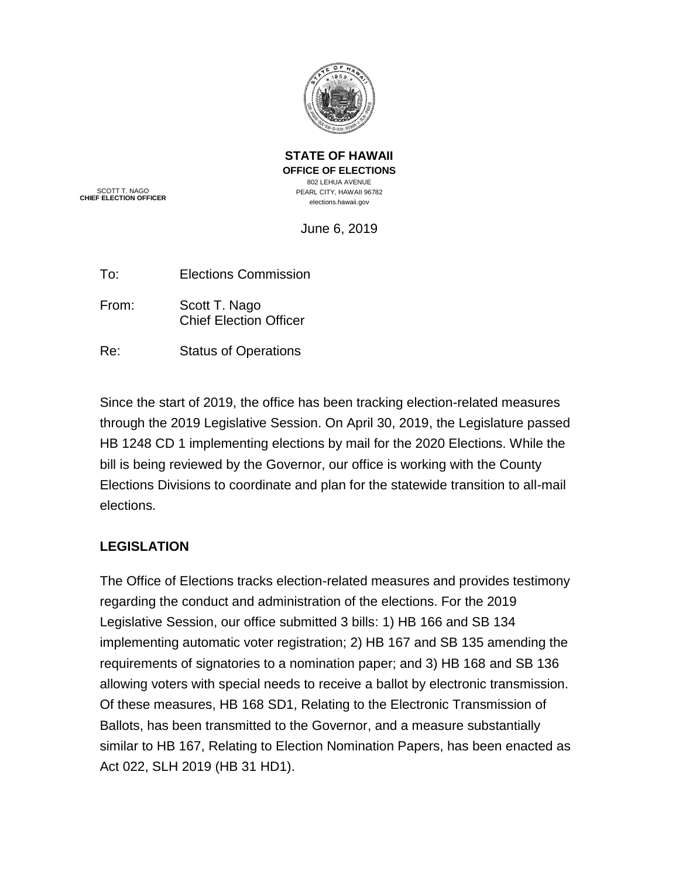

**STATE OF HAWAII OFFICE OF ELECTIONS** 802 LEHUA AVENUE PEARL CITY, HAWAII 96782 elections.hawaii.gov

SCOTT T. NAGO **CHIEF ELECTION OFFICER**

June 6, 2019

| To: | <b>Elections Commission</b> |
|-----|-----------------------------|
|     |                             |

- From: Scott T. Nago Chief Election Officer
- Re: Status of Operations

Since the start of 2019, the office has been tracking election-related measures through the 2019 Legislative Session. On April 30, 2019, the Legislature passed HB 1248 CD 1 implementing elections by mail for the 2020 Elections. While the bill is being reviewed by the Governor, our office is working with the County Elections Divisions to coordinate and plan for the statewide transition to all-mail elections.

## **LEGISLATION**

The Office of Elections tracks election-related measures and provides testimony regarding the conduct and administration of the elections. For the 2019 Legislative Session, our office submitted 3 bills: 1) HB 166 and SB 134 implementing automatic voter registration; 2) HB 167 and SB 135 amending the requirements of signatories to a nomination paper; and 3) HB 168 and SB 136 allowing voters with special needs to receive a ballot by electronic transmission. Of these measures, HB 168 SD1, Relating to the Electronic Transmission of Ballots, has been transmitted to the Governor, and a measure substantially similar to HB 167, Relating to Election Nomination Papers, has been enacted as Act 022, SLH 2019 (HB 31 HD1).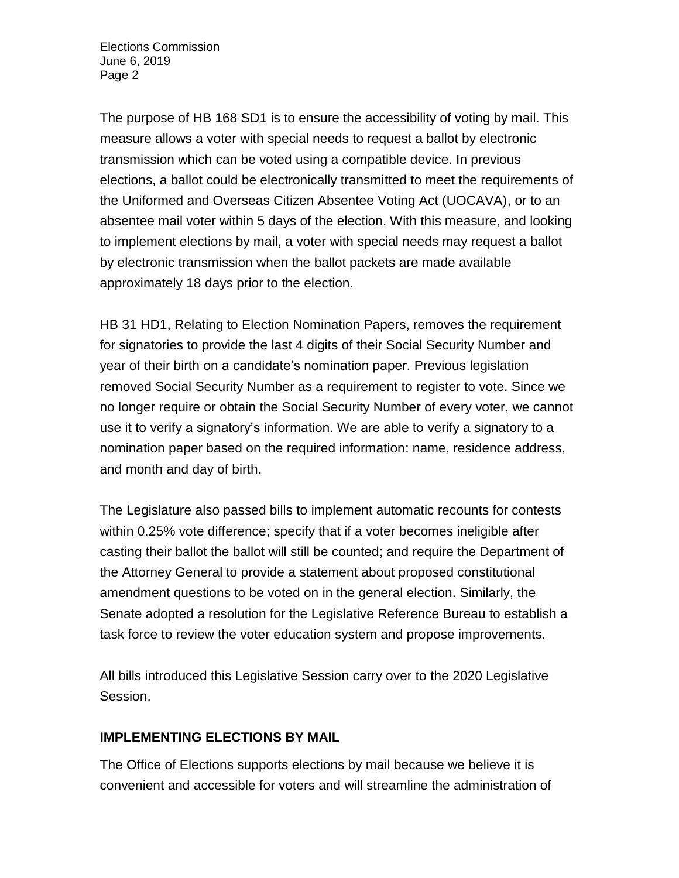The purpose of HB 168 SD1 is to ensure the accessibility of voting by mail. This measure allows a voter with special needs to request a ballot by electronic transmission which can be voted using a compatible device. In previous elections, a ballot could be electronically transmitted to meet the requirements of the Uniformed and Overseas Citizen Absentee Voting Act (UOCAVA), or to an absentee mail voter within 5 days of the election. With this measure, and looking to implement elections by mail, a voter with special needs may request a ballot by electronic transmission when the ballot packets are made available approximately 18 days prior to the election.

HB 31 HD1, Relating to Election Nomination Papers, removes the requirement for signatories to provide the last 4 digits of their Social Security Number and year of their birth on a candidate's nomination paper. Previous legislation removed Social Security Number as a requirement to register to vote. Since we no longer require or obtain the Social Security Number of every voter, we cannot use it to verify a signatory's information. We are able to verify a signatory to a nomination paper based on the required information: name, residence address, and month and day of birth.

The Legislature also passed bills to implement automatic recounts for contests within 0.25% vote difference; specify that if a voter becomes ineligible after casting their ballot the ballot will still be counted; and require the Department of the Attorney General to provide a statement about proposed constitutional amendment questions to be voted on in the general election. Similarly, the Senate adopted a resolution for the Legislative Reference Bureau to establish a task force to review the voter education system and propose improvements.

All bills introduced this Legislative Session carry over to the 2020 Legislative Session.

## **IMPLEMENTING ELECTIONS BY MAIL**

The Office of Elections supports elections by mail because we believe it is convenient and accessible for voters and will streamline the administration of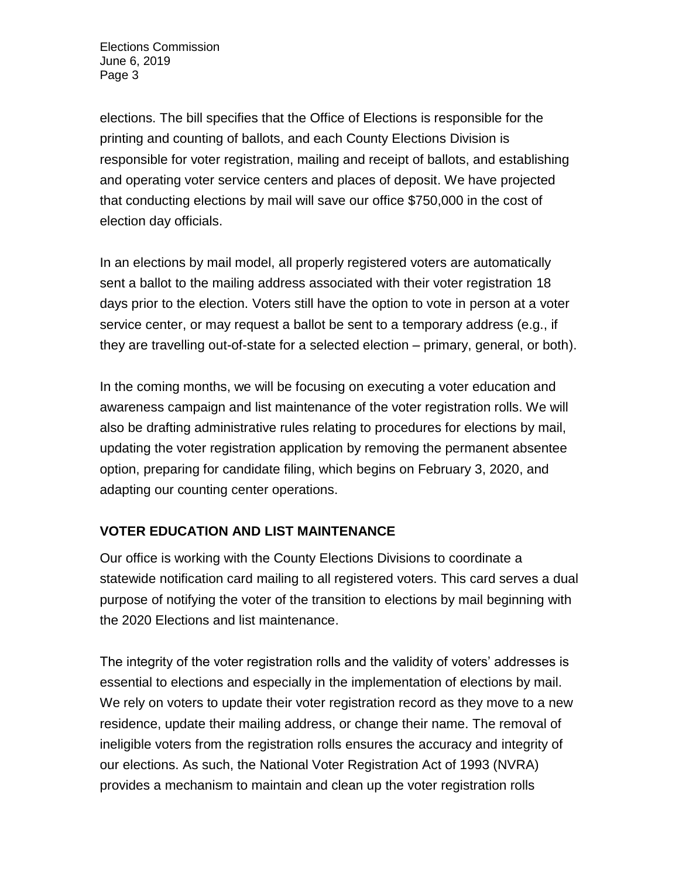elections. The bill specifies that the Office of Elections is responsible for the printing and counting of ballots, and each County Elections Division is responsible for voter registration, mailing and receipt of ballots, and establishing and operating voter service centers and places of deposit. We have projected that conducting elections by mail will save our office \$750,000 in the cost of election day officials.

In an elections by mail model, all properly registered voters are automatically sent a ballot to the mailing address associated with their voter registration 18 days prior to the election. Voters still have the option to vote in person at a voter service center, or may request a ballot be sent to a temporary address (e.g., if they are travelling out-of-state for a selected election – primary, general, or both).

In the coming months, we will be focusing on executing a voter education and awareness campaign and list maintenance of the voter registration rolls. We will also be drafting administrative rules relating to procedures for elections by mail, updating the voter registration application by removing the permanent absentee option, preparing for candidate filing, which begins on February 3, 2020, and adapting our counting center operations.

## **VOTER EDUCATION AND LIST MAINTENANCE**

Our office is working with the County Elections Divisions to coordinate a statewide notification card mailing to all registered voters. This card serves a dual purpose of notifying the voter of the transition to elections by mail beginning with the 2020 Elections and list maintenance.

The integrity of the voter registration rolls and the validity of voters' addresses is essential to elections and especially in the implementation of elections by mail. We rely on voters to update their voter registration record as they move to a new residence, update their mailing address, or change their name. The removal of ineligible voters from the registration rolls ensures the accuracy and integrity of our elections. As such, the National Voter Registration Act of 1993 (NVRA) provides a mechanism to maintain and clean up the voter registration rolls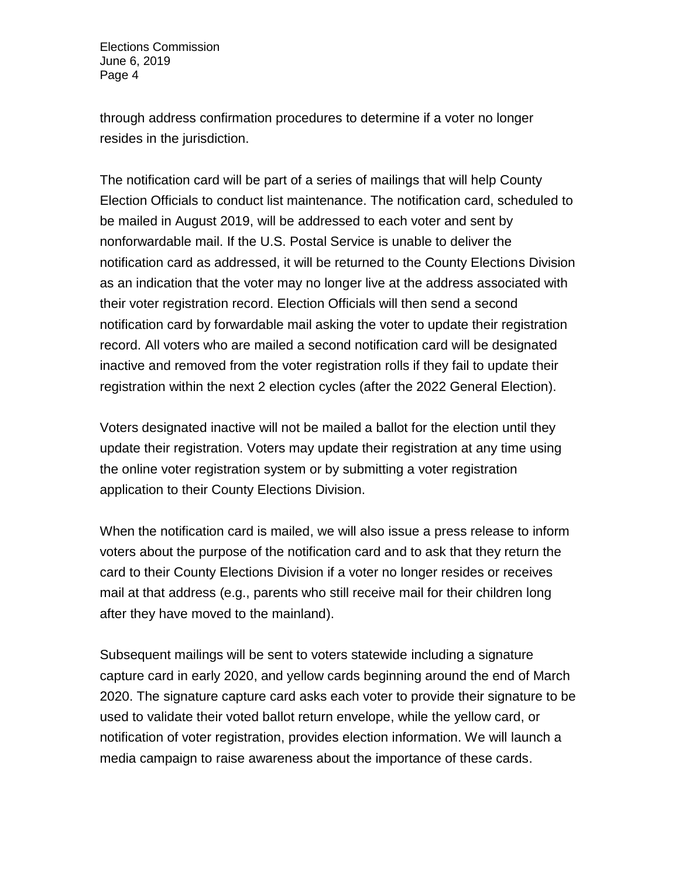through address confirmation procedures to determine if a voter no longer resides in the jurisdiction.

The notification card will be part of a series of mailings that will help County Election Officials to conduct list maintenance. The notification card, scheduled to be mailed in August 2019, will be addressed to each voter and sent by nonforwardable mail. If the U.S. Postal Service is unable to deliver the notification card as addressed, it will be returned to the County Elections Division as an indication that the voter may no longer live at the address associated with their voter registration record. Election Officials will then send a second notification card by forwardable mail asking the voter to update their registration record. All voters who are mailed a second notification card will be designated inactive and removed from the voter registration rolls if they fail to update their registration within the next 2 election cycles (after the 2022 General Election).

Voters designated inactive will not be mailed a ballot for the election until they update their registration. Voters may update their registration at any time using the online voter registration system or by submitting a voter registration application to their County Elections Division.

When the notification card is mailed, we will also issue a press release to inform voters about the purpose of the notification card and to ask that they return the card to their County Elections Division if a voter no longer resides or receives mail at that address (e.g., parents who still receive mail for their children long after they have moved to the mainland).

Subsequent mailings will be sent to voters statewide including a signature capture card in early 2020, and yellow cards beginning around the end of March 2020. The signature capture card asks each voter to provide their signature to be used to validate their voted ballot return envelope, while the yellow card, or notification of voter registration, provides election information. We will launch a media campaign to raise awareness about the importance of these cards.